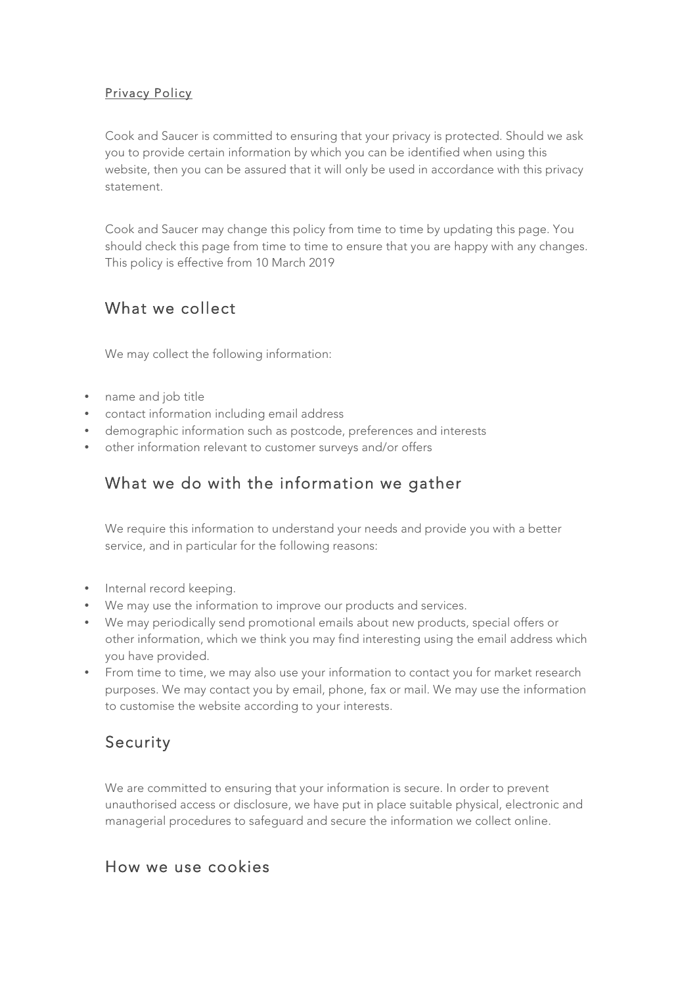#### Privacy Policy

Cook and Saucer is committed to ensuring that your privacy is protected. Should we ask you to provide certain information by which you can be identified when using this website, then you can be assured that it will only be used in accordance with this privacy statement.

Cook and Saucer may change this policy from time to time by updating this page. You should check this page from time to time to ensure that you are happy with any changes. This policy is effective from 10 March 2019

## What we collect

We may collect the following information:

- name and job title
- contact information including email address
- demographic information such as postcode, preferences and interests
- other information relevant to customer surveys and/or offers

# What we do with the information we gather

We require this information to understand your needs and provide you with a better service, and in particular for the following reasons:

- Internal record keeping.
- We may use the information to improve our products and services.
- We may periodically send promotional emails about new products, special offers or other information, which we think you may find interesting using the email address which you have provided.
- From time to time, we may also use your information to contact you for market research purposes. We may contact you by email, phone, fax or mail. We may use the information to customise the website according to your interests.

#### Security

We are committed to ensuring that your information is secure. In order to prevent unauthorised access or disclosure, we have put in place suitable physical, electronic and managerial procedures to safeguard and secure the information we collect online.

#### How we use cookies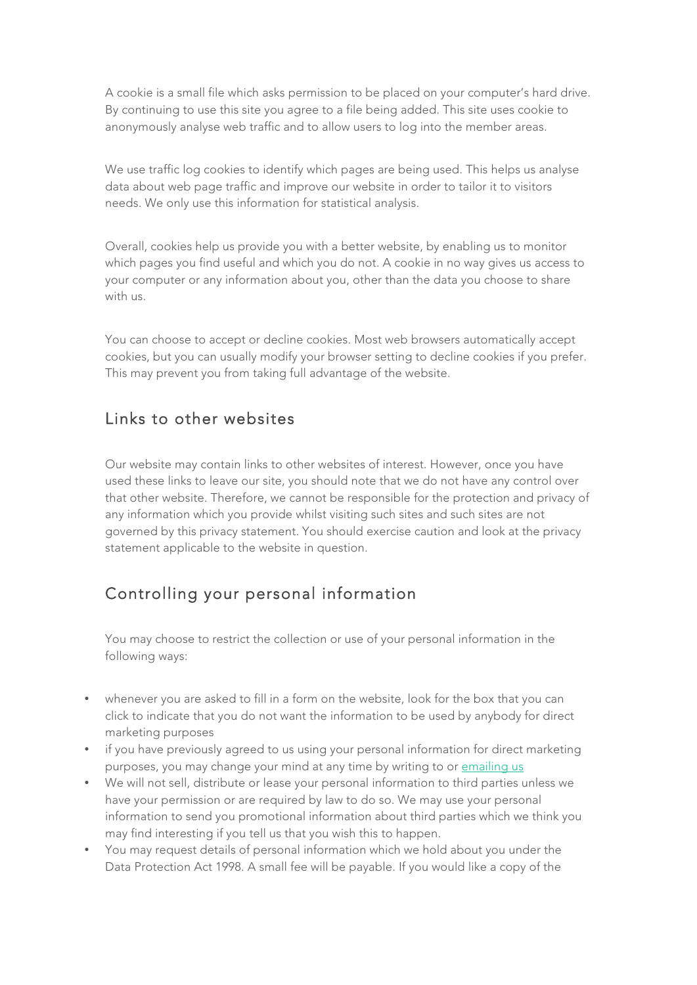A cookie is a small file which asks permission to be placed on your computer's hard drive. By continuing to use this site you agree to a file being added. This site uses cookie to anonymously analyse web traffic and to allow users to log into the member areas.

We use traffic log cookies to identify which pages are being used. This helps us analyse data about web page traffic and improve our website in order to tailor it to visitors needs. We only use this information for statistical analysis.

Overall, cookies help us provide you with a better website, by enabling us to monitor which pages you find useful and which you do not. A cookie in no way gives us access to your computer or any information about you, other than the data you choose to share with us.

You can choose to accept or decline cookies. Most web browsers automatically accept cookies, but you can usually modify your browser setting to decline cookies if you prefer. This may prevent you from taking full advantage of the website.

## Links to other websites

Our website may contain links to other websites of interest. However, once you have used these links to leave our site, you should note that we do not have any control over that other website. Therefore, we cannot be responsible for the protection and privacy of any information which you provide whilst visiting such sites and such sites are not governed by this privacy statement. You should exercise caution and look at the privacy statement applicable to the website in question.

# Controlling your personal information

You may choose to restrict the collection or use of your personal information in the following ways:

- whenever you are asked to fill in a form on the website, look for the box that you can click to indicate that you do not want the information to be used by anybody for direct marketing purposes
- if you have previously agreed to us using your personal information for direct marketing purposes, you may change your mind at any time by writing to or emailing us
- We will not sell, distribute or lease your personal information to third parties unless we have your permission or are required by law to do so. We may use your personal information to send you promotional information about third parties which we think you may find interesting if you tell us that you wish this to happen.
- You may request details of personal information which we hold about you under the Data Protection Act 1998. A small fee will be payable. If you would like a copy of the